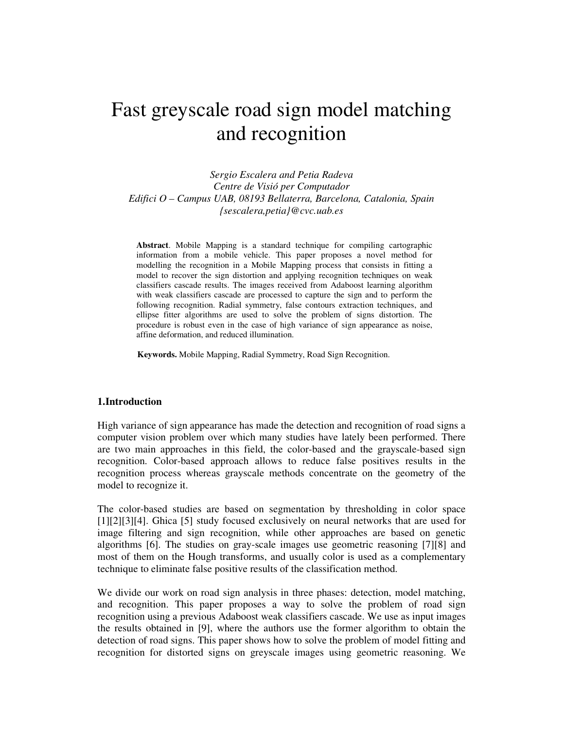# Fast greyscale road sign model matching and recognition

*Sergio Escalera and Petia Radeva Centre de Visió per Computador Edifici O – Campus UAB, 08193 Bellaterra, Barcelona, Catalonia, Spain {sescalera,petia}@cvc.uab.es*

**Abstract**. Mobile Mapping is a standard technique for compiling cartographic information from a mobile vehicle. This paper proposes a novel method for modelling the recognition in a Mobile Mapping process that consists in fitting a model to recover the sign distortion and applying recognition techniques on weak classifiers cascade results. The images received from Adaboost learning algorithm with weak classifiers cascade are processed to capture the sign and to perform the following recognition. Radial symmetry, false contours extraction techniques, and ellipse fitter algorithms are used to solve the problem of signs distortion. The procedure is robust even in the case of high variance of sign appearance as noise, affine deformation, and reduced illumination.

**Keywords.** Mobile Mapping, Radial Symmetry, Road Sign Recognition.

#### **1.Introduction**

High variance of sign appearance has made the detection and recognition of road signs a computer vision problem over which many studies have lately been performed. There are two main approaches in this field, the color-based and the grayscale-based sign recognition. Color-based approach allows to reduce false positives results in the recognition process whereas grayscale methods concentrate on the geometry of the model to recognize it.

The color-based studies are based on segmentation by thresholding in color space [1][2][3][4]. Ghica [5] study focused exclusively on neural networks that are used for image filtering and sign recognition, while other approaches are based on genetic algorithms [6]. The studies on gray-scale images use geometric reasoning [7][8] and most of them on the Hough transforms, and usually color is used as a complementary technique to eliminate false positive results of the classification method.

We divide our work on road sign analysis in three phases: detection, model matching, and recognition. This paper proposes a way to solve the problem of road sign recognition using a previous Adaboost weak classifiers cascade. We use as input images the results obtained in [9], where the authors use the former algorithm to obtain the detection of road signs. This paper shows how to solve the problem of model fitting and recognition for distorted signs on greyscale images using geometric reasoning. We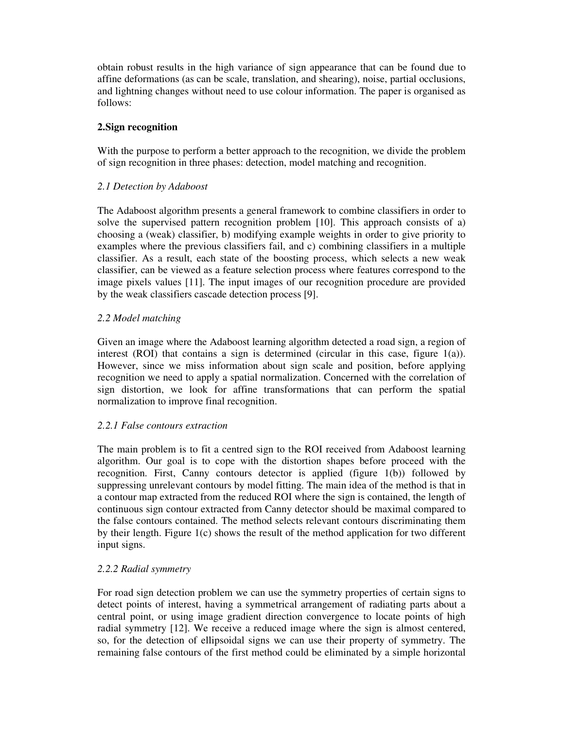obtain robust results in the high variance of sign appearance that can be found due to affine deformations (as can be scale, translation, and shearing), noise, partial occlusions, and lightning changes without need to use colour information. The paper is organised as follows:

# **2.Sign recognition**

With the purpose to perform a better approach to the recognition, we divide the problem of sign recognition in three phases: detection, model matching and recognition.

# *2.1 Detection by Adaboost*

The Adaboost algorithm presents a general framework to combine classifiers in order to solve the supervised pattern recognition problem [10]. This approach consists of a) choosing a (weak) classifier, b) modifying example weights in order to give priority to examples where the previous classifiers fail, and c) combining classifiers in a multiple classifier. As a result, each state of the boosting process, which selects a new weak classifier, can be viewed as a feature selection process where features correspond to the image pixels values [11]. The input images of our recognition procedure are provided by the weak classifiers cascade detection process [9].

# *2.2 Model matching*

Given an image where the Adaboost learning algorithm detected a road sign, a region of interest (ROI) that contains a sign is determined (circular in this case, figure 1(a)). However, since we miss information about sign scale and position, before applying recognition we need to apply a spatial normalization. Concerned with the correlation of sign distortion, we look for affine transformations that can perform the spatial normalization to improve final recognition.

## *2.2.1 False contours extraction*

The main problem is to fit a centred sign to the ROI received from Adaboost learning algorithm. Our goal is to cope with the distortion shapes before proceed with the recognition. First, Canny contours detector is applied (figure 1(b)) followed by suppressing unrelevant contours by model fitting. The main idea of the method is that in a contour map extracted from the reduced ROI where the sign is contained, the length of continuous sign contour extracted from Canny detector should be maximal compared to the false contours contained. The method selects relevant contours discriminating them by their length. Figure 1(c) shows the result of the method application for two different input signs.

## *2.2.2 Radial symmetry*

For road sign detection problem we can use the symmetry properties of certain signs to detect points of interest, having a symmetrical arrangement of radiating parts about a central point, or using image gradient direction convergence to locate points of high radial symmetry [12]. We receive a reduced image where the sign is almost centered, so, for the detection of ellipsoidal signs we can use their property of symmetry. The remaining false contours of the first method could be eliminated by a simple horizontal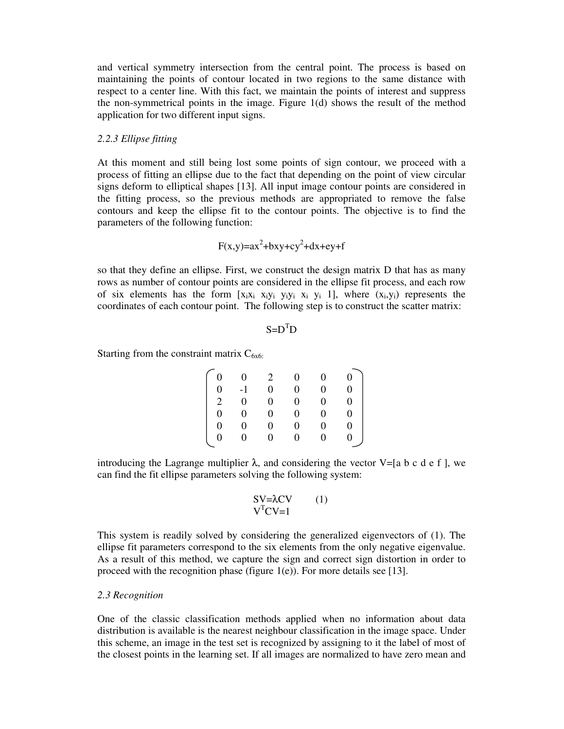and vertical symmetry intersection from the central point. The process is based on maintaining the points of contour located in two regions to the same distance with respect to a center line. With this fact, we maintain the points of interest and suppress the non-symmetrical points in the image. Figure 1(d) shows the result of the method application for two different input signs.

#### *2.2.3 Ellipse fitting*

At this moment and still being lost some points of sign contour, we proceed with a process of fitting an ellipse due to the fact that depending on the point of view circular signs deform to elliptical shapes [13]. All input image contour points are considered in the fitting process, so the previous methods are appropriated to remove the false contours and keep the ellipse fit to the contour points. The objective is to find the parameters of the following function:

$$
F(x,y)=ax^2+bxy+cy^2+dx+ey+f
$$

so that they define an ellipse. First, we construct the design matrix D that has as many rows as number of contour points are considered in the ellipse fit process, and each row of six elements has the form  $[x_i x_i x_i y_i y_i x_i y_i 1]$ , where  $(x_i, y_i)$  represents the coordinates of each contour point. The following step is to construct the scatter matrix:

 $S = D<sup>T</sup>D$ 

Starting from the constraint matrix  $C_{6x6}$ .

|                                                  | $\overline{0}$ | 2              | $\overline{0}$ | $\overline{0}$ | 0                |
|--------------------------------------------------|----------------|----------------|----------------|----------------|------------------|
| $\begin{matrix} 0 \\ 0 \end{matrix}$             | $-1$           | $\overline{0}$ | $\overline{0}$ | $\Omega$       | 0                |
|                                                  | $\overline{0}$ | $\overline{0}$ | $\overline{0}$ | $\overline{0}$ | $\theta$         |
|                                                  | $\overline{0}$ | $\mathbf{0}$   | $\overline{0}$ | $\Omega$       | $\theta$         |
|                                                  | $\overline{0}$ | $\overline{0}$ | $\overline{0}$ | $\overline{0}$ | $\overline{0}$   |
| $\begin{bmatrix} 2 \\ 0 \\ 0 \\ 0 \end{bmatrix}$ | $\overline{0}$ | $\overline{0}$ | $\overline{0}$ | $\overline{0}$ | $\boldsymbol{0}$ |
|                                                  |                |                |                |                |                  |

introducing the Lagrange multiplier  $\lambda$ , and considering the vector V=[a b c d e f ], we can find the fit ellipse parameters solving the following system:

$$
SV=\lambda CV \qquad (1)
$$

$$
V^{T}CV=1
$$

This system is readily solved by considering the generalized eigenvectors of (1). The ellipse fit parameters correspond to the six elements from the only negative eigenvalue. As a result of this method, we capture the sign and correct sign distortion in order to proceed with the recognition phase (figure  $1(e)$ ). For more details see [13].

#### *2.3 Recognition*

One of the classic classification methods applied when no information about data distribution is available is the nearest neighbour classification in the image space. Under this scheme, an image in the test set is recognized by assigning to it the label of most of the closest points in the learning set. If all images are normalized to have zero mean and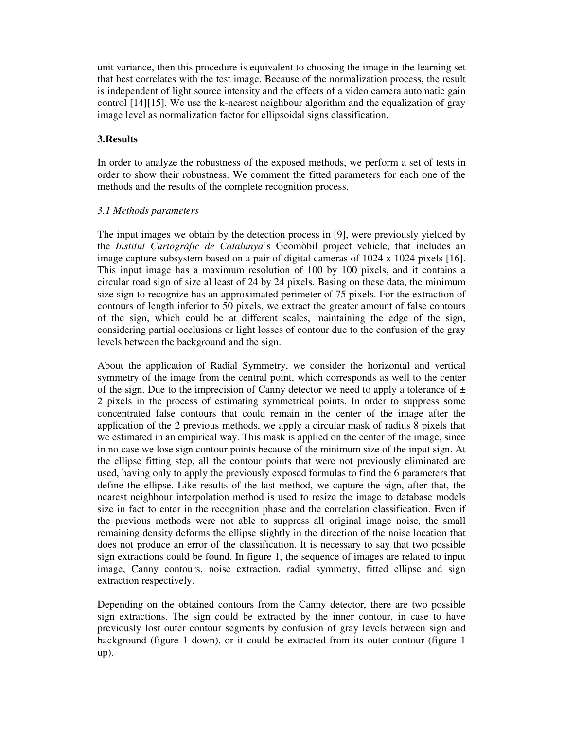unit variance, then this procedure is equivalent to choosing the image in the learning set that best correlates with the test image. Because of the normalization process, the result is independent of light source intensity and the effects of a video camera automatic gain control [14][15]. We use the k-nearest neighbour algorithm and the equalization of gray image level as normalization factor for ellipsoidal signs classification.

## **3.Results**

In order to analyze the robustness of the exposed methods, we perform a set of tests in order to show their robustness. We comment the fitted parameters for each one of the methods and the results of the complete recognition process.

## *3.1 Methods parameters*

The input images we obtain by the detection process in [9], were previously yielded by the *Institut Cartogràfic de Catalunya*'s Geomòbil project vehicle, that includes an image capture subsystem based on a pair of digital cameras of 1024 x 1024 pixels [16]. This input image has a maximum resolution of 100 by 100 pixels, and it contains a circular road sign of size al least of 24 by 24 pixels. Basing on these data, the minimum size sign to recognize has an approximated perimeter of 75 pixels. For the extraction of contours of length inferior to 50 pixels, we extract the greater amount of false contours of the sign, which could be at different scales, maintaining the edge of the sign, considering partial occlusions or light losses of contour due to the confusion of the gray levels between the background and the sign.

About the application of Radial Symmetry, we consider the horizontal and vertical symmetry of the image from the central point, which corresponds as well to the center of the sign. Due to the imprecision of Canny detector we need to apply a tolerance of  $\pm$ 2 pixels in the process of estimating symmetrical points. In order to suppress some concentrated false contours that could remain in the center of the image after the application of the 2 previous methods, we apply a circular mask of radius 8 pixels that we estimated in an empirical way. This mask is applied on the center of the image, since in no case we lose sign contour points because of the minimum size of the input sign. At the ellipse fitting step, all the contour points that were not previously eliminated are used, having only to apply the previously exposed formulas to find the 6 parameters that define the ellipse. Like results of the last method, we capture the sign, after that, the nearest neighbour interpolation method is used to resize the image to database models size in fact to enter in the recognition phase and the correlation classification. Even if the previous methods were not able to suppress all original image noise, the small remaining density deforms the ellipse slightly in the direction of the noise location that does not produce an error of the classification. It is necessary to say that two possible sign extractions could be found. In figure 1, the sequence of images are related to input image, Canny contours, noise extraction, radial symmetry, fitted ellipse and sign extraction respectively.

Depending on the obtained contours from the Canny detector, there are two possible sign extractions. The sign could be extracted by the inner contour, in case to have previously lost outer contour segments by confusion of gray levels between sign and background (figure 1 down), or it could be extracted from its outer contour (figure 1 up).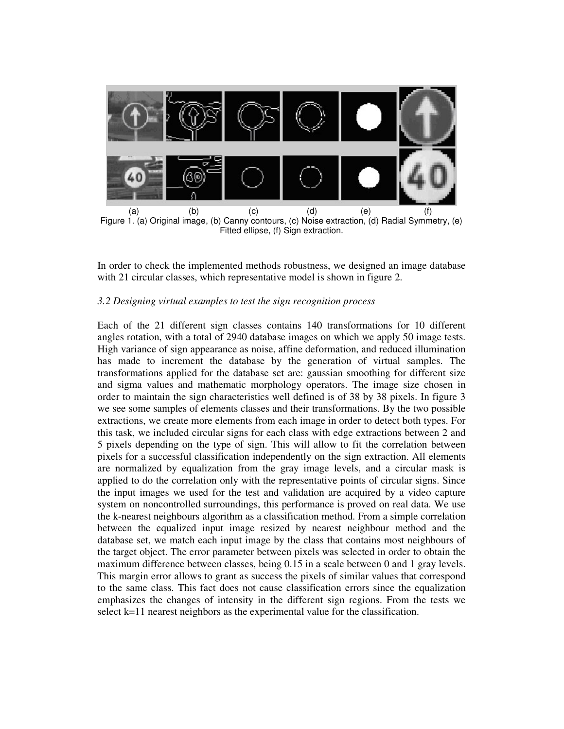

Figure 1. (a) Original image, (b) Canny contours, (c) Noise extraction, (d) Radial Symmetry, (e) Fitted ellipse, (f) Sign extraction.

In order to check the implemented methods robustness, we designed an image database with 21 circular classes, which representative model is shown in figure 2.

#### *3.2 Designing virtual examples to test the sign recognition process*

Each of the 21 different sign classes contains 140 transformations for 10 different angles rotation, with a total of 2940 database images on which we apply 50 image tests. High variance of sign appearance as noise, affine deformation, and reduced illumination has made to increment the database by the generation of virtual samples. The transformations applied for the database set are: gaussian smoothing for different size and sigma values and mathematic morphology operators. The image size chosen in order to maintain the sign characteristics well defined is of 38 by 38 pixels. In figure 3 we see some samples of elements classes and their transformations. By the two possible extractions, we create more elements from each image in order to detect both types. For this task, we included circular signs for each class with edge extractions between 2 and 5 pixels depending on the type of sign. This will allow to fit the correlation between pixels for a successful classification independently on the sign extraction. All elements are normalized by equalization from the gray image levels, and a circular mask is applied to do the correlation only with the representative points of circular signs. Since the input images we used for the test and validation are acquired by a video capture system on noncontrolled surroundings, this performance is proved on real data. We use the k-nearest neighbours algorithm as a classification method. From a simple correlation between the equalized input image resized by nearest neighbour method and the database set, we match each input image by the class that contains most neighbours of the target object. The error parameter between pixels was selected in order to obtain the maximum difference between classes, being 0.15 in a scale between 0 and 1 gray levels. This margin error allows to grant as success the pixels of similar values that correspond to the same class. This fact does not cause classification errors since the equalization emphasizes the changes of intensity in the different sign regions. From the tests we select k=11 nearest neighbors as the experimental value for the classification.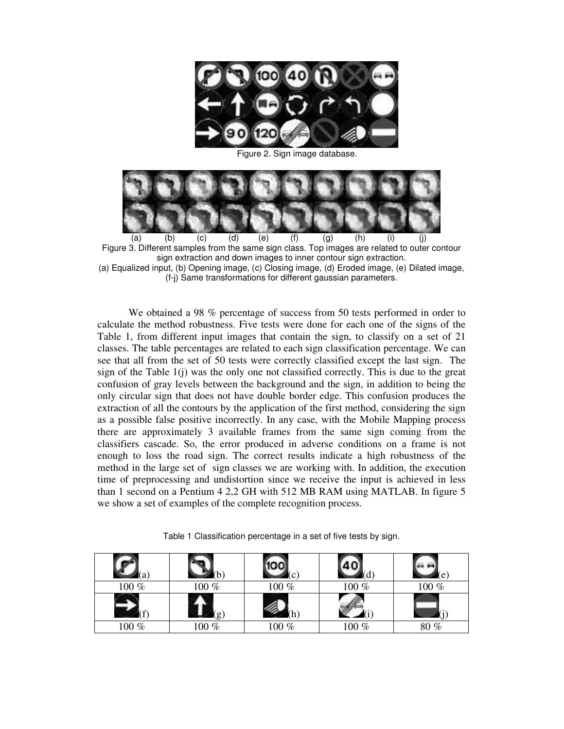

Figure 2. Sign image database.



Figure 3. Different samples from the same sign class. Top images are related to outer contour sign extraction and down images to inner contour sign extraction.

(a) Equalized input, (b) Opening image, (c) Closing image, (d) Eroded image, (e) Dilated image, (f-j) Same transformations for different gaussian parameters.

We obtained a 98 % percentage of success from 50 tests performed in order to calculate the method robustness. Five tests were done for each one of the signs of the Table 1, from different input images that contain the sign, to classify on a set of 21 classes. The table percentages are related to each sign classification percentage. We can see that all from the set of 50 tests were correctly classified except the last sign. The sign of the Table  $1(i)$  was the only one not classified correctly. This is due to the great confusion of gray levels between the background and the sign, in addition to being the only circular sign that does not have double border edge. This confusion produces the extraction of all the contours by the application of the first method, considering the sign as a possible false positive incorrectly. In any case, with the Mobile Mapping process there are approximately 3 available frames from the same sign coming from the classifiers cascade. So, the error produced in adverse conditions on a frame is not enough to loss the road sign. The correct results indicate a high robustness of the method in the large set of sign classes we are working with. In addition, the execution time of preprocessing and undistortion since we receive the input is achieved in less than 1 second on a Pentium 4 2,2 GH with 512 MB RAM using MATLAB. In figure 5 we show a set of examples of the complete recognition process.

Table 1 Classification percentage in a set of five tests by sign.

| $100~\%$ | 100 %   | 100 % | 100 % | 100 % |
|----------|---------|-------|-------|-------|
|          |         |       |       |       |
| 100 %    | $100\%$ | 100 % | 100 % | 80%   |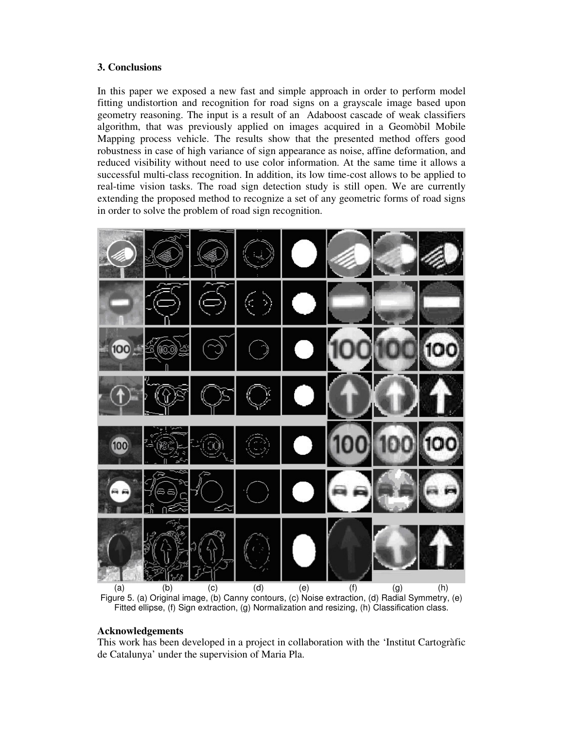## **3. Conclusions**

In this paper we exposed a new fast and simple approach in order to perform model fitting undistortion and recognition for road signs on a grayscale image based upon geometry reasoning. The input is a result of an Adaboost cascade of weak classifiers algorithm, that was previously applied on images acquired in a Geomòbil Mobile Mapping process vehicle. The results show that the presented method offers good robustness in case of high variance of sign appearance as noise, affine deformation, and reduced visibility without need to use color information. At the same time it allows a successful multi-class recognition. In addition, its low time-cost allows to be applied to real-time vision tasks. The road sign detection study is still open. We are currently extending the proposed method to recognize a set of any geometric forms of road signs in order to solve the problem of road sign recognition.



Fitted ellipse, (f) Sign extraction, (g) Normalization and resizing, (h) Classification class.

# **Acknowledgements**

This work has been developed in a project in collaboration with the 'Institut Cartogràfic de Catalunya' under the supervision of Maria Pla.